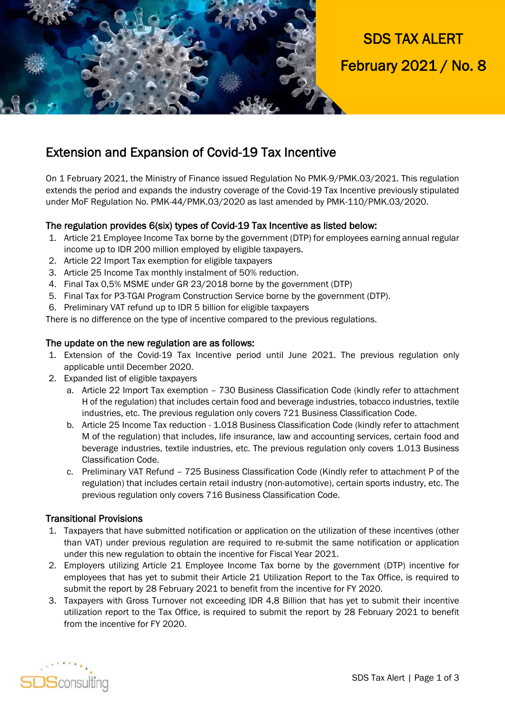

# SDS TAX ALERT February 2021 / No. 8

### Extension and Expansion of Covid-19 Tax Incentive

On 1 February 2021, the Ministry of Finance issued Regulation No PMK-9/PMK.03/2021. This regulation extends the period and expands the industry coverage of the Covid-19 Tax Incentive previously stipulated under MoF Regulation No. PMK-44/PMK.03/2020 as last amended by PMK-110/PMK.03/2020.

### The regulation provides 6(six) types of Covid-19 Tax Incentive as listed below:

- 1. Article 21 Employee Income Tax borne by the government (DTP) for employees earning annual regular income up to IDR 200 million employed by eligible taxpayers.
- 2. Article 22 Import Tax exemption for eligible taxpayers
- 3. Article 25 Income Tax monthly instalment of 50% reduction.
- 4. Final Tax 0,5% MSME under GR 23/2018 borne by the government (DTP)
- 5. Final Tax for P3-TGAl Program Construction Service borne by the government (DTP).
- 6. Preliminary VAT refund up to IDR 5 billion for eligible taxpayers

There is no difference on the type of incentive compared to the previous regulations.

#### The update on the new regulation are as follows:

- 1. Extension of the Covid-19 Tax Incentive period until June 2021. The previous regulation only applicable until December 2020.
- 2. Expanded list of eligible taxpayers
	- a. Article 22 Import Tax exemption 730 Business Classification Code (kindly refer to attachment H of the regulation) that includes certain food and beverage industries, tobacco industries, textile industries, etc. The previous regulation only covers 721 Business Classification Code.
	- b. Article 25 Income Tax reduction 1.018 Business Classification Code (kindly refer to attachment M of the regulation) that includes, life insurance, law and accounting services, certain food and beverage industries, textile industries, etc. The previous regulation only covers 1.013 Business Classification Code.
	- c. Preliminary VAT Refund 725 Business Classification Code (Kindly refer to attachment P of the regulation) that includes certain retail industry (non-automotive), certain sports industry, etc. The previous regulation only covers 716 Business Classification Code.

#### Transitional Provisions

- 1. Taxpayers that have submitted notification or application on the utilization of these incentives (other than VAT) under previous regulation are required to re-submit the same notification or application under this new regulation to obtain the incentive for Fiscal Year 2021.
- 2. Employers utilizing Article 21 Employee Income Tax borne by the government (DTP) incentive for employees that has yet to submit their Article 21 Utilization Report to the Tax Office, is required to submit the report by 28 February 2021 to benefit from the incentive for FY 2020.
- 3. Taxpayers with Gross Turnover not exceeding IDR 4,8 Billion that has yet to submit their incentive utilization report to the Tax Office, is required to submit the report by 28 February 2021 to benefit from the incentive for FY 2020.

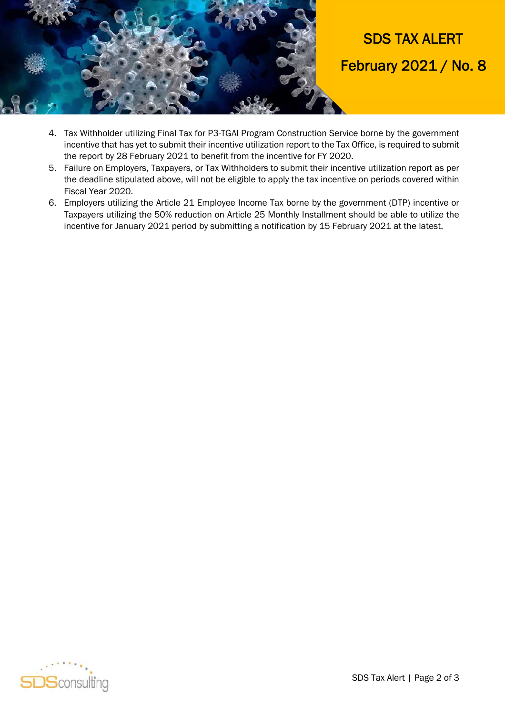

- 4. Tax Withholder utilizing Final Tax for P3-TGAl Program Construction Service borne by the government incentive that has yet to submit their incentive utilization report to the Tax Office, is required to submit the report by 28 February 2021 to benefit from the incentive for FY 2020.
- 5. Failure on Employers, Taxpayers, or Tax Withholders to submit their incentive utilization report as per the deadline stipulated above, will not be eligible to apply the tax incentive on periods covered within Fiscal Year 2020.
- 6. Employers utilizing the Article 21 Employee Income Tax borne by the government (DTP) incentive or Taxpayers utilizing the 50% reduction on Article 25 Monthly Installment should be able to utilize the incentive for January 2021 period by submitting a notification by 15 February 2021 at the latest.